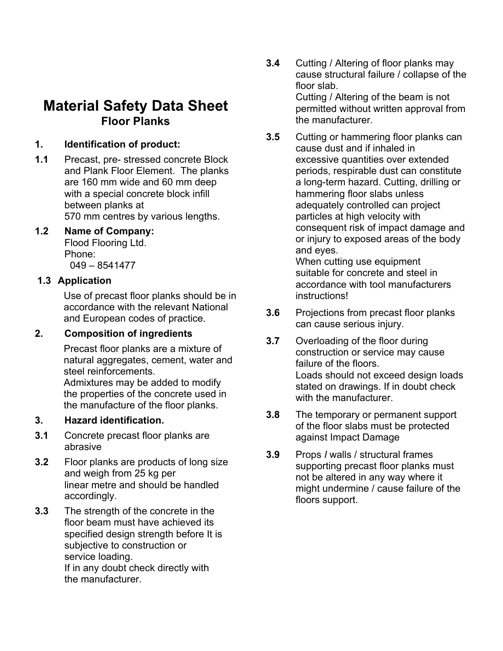# **Material Safety Data Sheet Floor Planks**

### **1. Identification of product:**

**1.1** Precast, pre- stressed concrete Block and Plank Floor Element. The planks are 160 mm wide and 60 mm deep with a special concrete block infill between planks at 570 mm centres by various lengths.

### **1.2 Name of Company:**

Flood Flooring Ltd. Phone: 049 – 8541477

### **1.3 Application**

Use of precast floor planks should be in accordance with the relevant National and European codes of practice.

## **2. Composition of ingredients**

Precast floor planks are a mixture of natural aggregates, cement, water and steel reinforcements.

Admixtures may be added to modify the properties of the concrete used in the manufacture of the floor planks.

## **3. Hazard identification.**

- **3.1** Concrete precast floor planks are abrasive
- **3.2** Floor planks are products of long size and weigh from 25 kg per linear metre and should be handled accordingly.
- **3.3** The strength of the concrete in the floor beam must have achieved its specified design strength before It is subjective to construction or service loading. If in any doubt check directly with the manufacturer.
- **3.4** Cutting / Altering of floor planks may cause structural failure / collapse of the floor slab. Cutting / Altering of the beam is not permitted without written approval from the manufacturer.
- **3.5** Cutting or hammering floor planks can cause dust and if inhaled in excessive quantities over extended periods, respirable dust can constitute a long-term hazard. Cutting, drilling or hammering floor slabs unless adequately controlled can project particles at high velocity with consequent risk of impact damage and or injury to exposed areas of the body and eyes.

When cutting use equipment suitable for concrete and steel in accordance with tool manufacturers instructions!

- **3.6** Projections from precast floor planks can cause serious injury.
- **3.7** Overloading of the floor during construction or service may cause failure of the floors. Loads should not exceed design loads stated on drawings. If in doubt check with the manufacturer.
- **3.8** The temporary or permanent support of the floor slabs must be protected against Impact Damage
- **3.9** Props *I* walls / structural frames supporting precast floor planks must not be altered in any way where it might undermine / cause failure of the floors support.